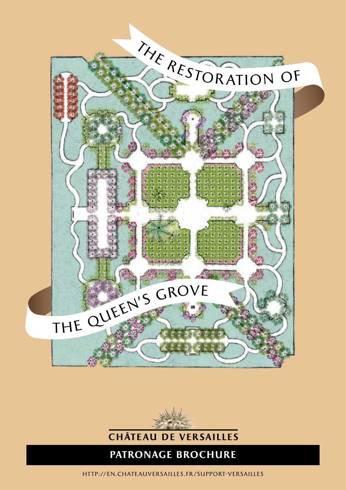



# **CHÂTEAU DE VERSAILLES**

# **Patronage brochure**

http://en.chateauversailles.fr/support-versailles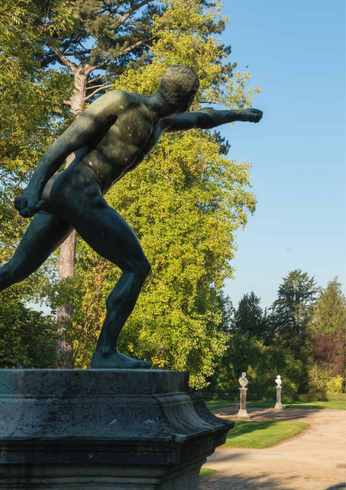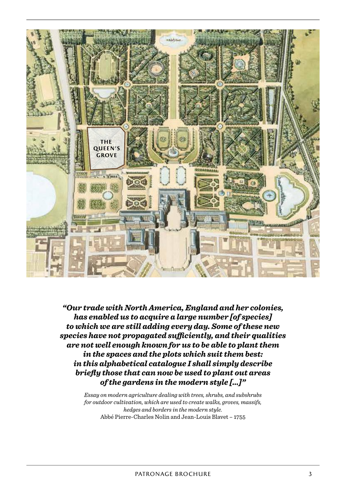

*"Our trade with North America, England and her colonies, has enabled us to acquire a large number [of species] to which we are still adding every day. Some of these new species have not propagated sufficiently, and their qualities are not well enough known for us to be able to plant them in the spaces and the plots which suit them best: in this alphabetical catalogue I shall simply describe briefly those that can now be used to plant out areas of the gardens in the modern style […]"*

> *Essay on modern agriculture dealing with trees, shrubs, and subshrubs for outdoor cultivation, which are used to create walks, groves, massifs, hedges and borders in the modern style.* Abbé Pierre-Charles Nolin and Jean-Louis Blavet – 1755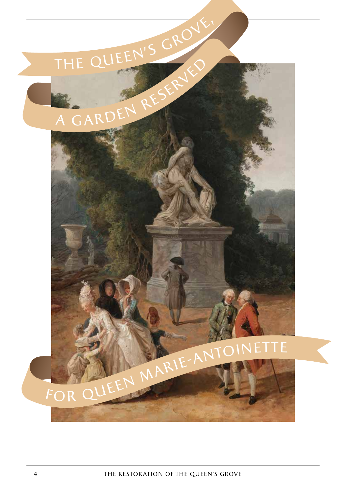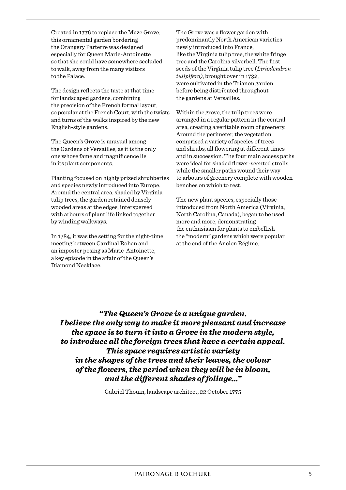Created in 1776 to replace the Maze Grove, this ornamental garden bordering the Orangery Parterre was designed especially for Queen Marie-Antoinette so that she could have somewhere secluded to walk, away from the many visitors to the Palace.

The design reflects the taste at that time for landscaped gardens, combining the precision of the French formal layout, so popular at the French Court, with the twists and turns of the walks inspired by the new English-style gardens.

The Queen's Grove is unusual among the Gardens of Versailles, as it is the only one whose fame and magnificence lie in its plant components.

Planting focused on highly prized shrubberies and species newly introduced into Europe. Around the central area, shaded by Virginia tulip trees, the garden retained densely wooded areas at the edges, interspersed with arbours of plant life linked together by winding walkways.

In 1784, it was the setting for the night-time meeting between Cardinal Rohan and an imposter posing as Marie-Antoinette, a key episode in the affair of the Queen's Diamond Necklace.

The Grove was a flower garden with predominantly North American varieties newly introduced into France, like the Virginia tulip tree, the white fringe tree and the Carolina silverbell. The first seeds of the Virginia tulip tree (*Liriodendron tulipifera)*, brought over in 1732, were cultivated in the Trianon garden before being distributed throughout the gardens at Versailles.

Within the grove, the tulip trees were arranged in a regular pattern in the central area, creating a veritable room of greenery. Around the perimeter, the vegetation comprised a variety of species of trees and shrubs, all flowering at different times and in succession. The four main access paths were ideal for shaded flower-scented strolls, while the smaller paths wound their way to arbours of greenery complete with wooden benches on which to rest.

The new plant species, especially those introduced from North America (Virginia, North Carolina, Canada), began to be used more and more, demonstrating the enthusiasm for plants to embellish the "modern" gardens which were popular at the end of the Ancien Régime.

*"The Queen's Grove is a unique garden. I believe the only way to make it more pleasant and increase the space is to turn it into a Grove in the modern style, to introduce all the foreign trees that have a certain appeal. This space requires artistic variety in the shapes of the trees and their leaves, the colour of the flowers, the period when they will be in bloom, and the different shades of foliage…"*

Gabriel Thouin, landscape architect, 22 October 1775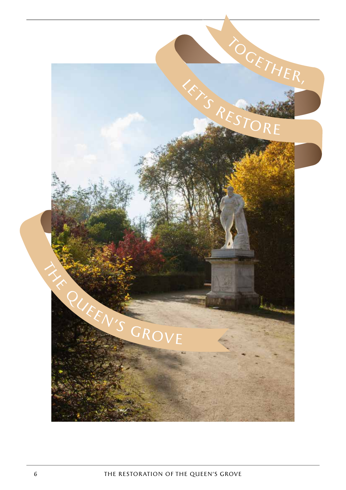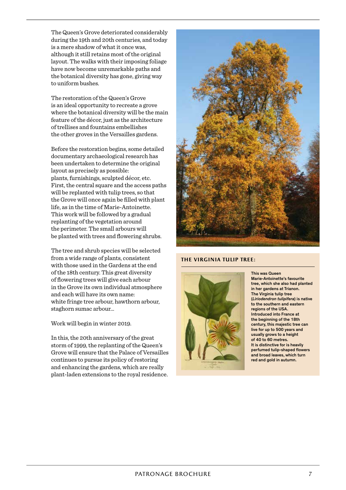The Queen's Grove deteriorated considerably during the 19th and 20th centuries, and today is a mere shadow of what it once was, although it still retains most of the original layout. The walks with their imposing foliage have now become unremarkable paths and the botanical diversity has gone, giving way to uniform bushes.

The restoration of the Queen's Grove is an ideal opportunity to recreate a grove where the botanical diversity will be the main feature of the décor, just as the architecture of trellises and fountains embellishes the other groves in the Versailles gardens.

Before the restoration begins, some detailed documentary archaeological research has been undertaken to determine the original layout as precisely as possible: plants, furnishings, sculpted décor, etc. First, the central square and the access paths will be replanted with tulip trees, so that the Grove will once again be filled with plant life, as in the time of Marie-Antoinette. This work will be followed by a gradual replanting of the vegetation around the perimeter. The small arbours will be planted with trees and flowering shrubs.

The tree and shrub species will be selected from a wide range of plants, consistent with those used in the Gardens at the end of the 18th century. This great diversity of flowering trees will give each arbour in the Grove its own individual atmosphere and each will have its own name: white fringe tree arbour, hawthorn arbour, staghorn sumac arbour…

Work will begin in winter 2019.

In this, the 20th anniversary of the great storm of 1999, the replanting of the Queen's Grove will ensure that the Palace of Versailles continues to pursue its policy of restoring and enhancing the gardens, which are really plant-laden extensions to the royal residence.



**The Virginia tulip tree:**



This was Queen Marie-Antoinette's favourite tree, which she also had planted in her gardens at Trianon. The Virginia tulip tree (Liriodendron tulipifera) is native to the southern and eastern regions of the USA. Introduced into France at the beginning of the 18th century, this majestic tree can live for up to 500 years and usually grows to a height of 40 to 60 metres. It is distinctive for is heavily perfumed tulip-shaped flowers and broad leaves, which turn red and gold in autumn.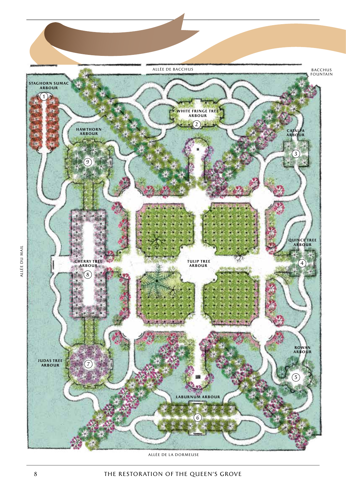

allée de la dormeuse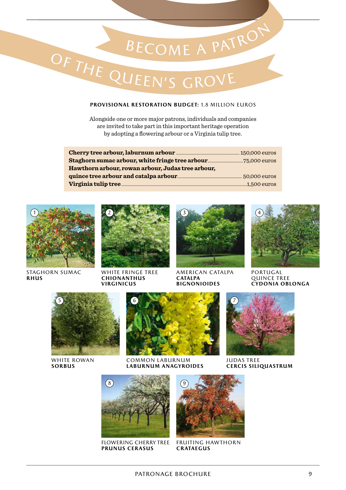

#### **Provisional restoration budget:** 1.8 million euros

Alongside one or more major patrons, individuals and companies are invited to take part in this important heritage operation by adopting a flowering arbour or a Virginia tulip tree.

| Hawthorn arbour, rowan arbour, Judas tree arbour, |  |
|---------------------------------------------------|--|
|                                                   |  |
|                                                   |  |



Staghorn sumac **rhus**



WHITE FRINGE TREE **chionanthus virginicus**



American Catalpa **Catalpa bignonioides**



Portugal quince tree **cydonia oblonga**



WHITE ROWAN **sorbus**



Common laburnum **Laburnum anagyroides**



**Cercis siliquastrum**



Flowering cherry tree **Prunus cerasus**



Fruiting hawthorn **CrATAEGUS**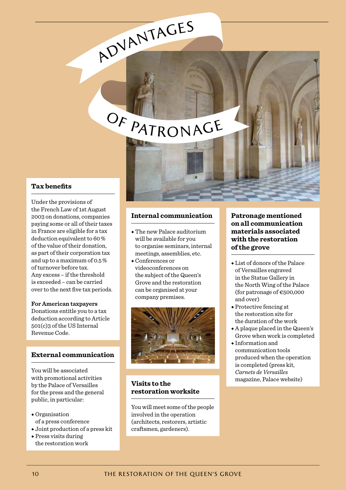# OF PATRONAGE

ADVANTAGES

### **Tax benefits**

Under the provisions of the French Law of 1st August 2003 on donations, companies paying some or all of their taxes in France are eligible for a tax deduction equivalent to 60 % of the value of their donation, as part of their corporation tax and up to a maximum of 0.5 % of turnover before tax. Any excess – if the threshold is exceeded – can be carried over to the next five tax periods.

#### **For American taxpayers**

Donations entitle you to a tax deduction according to Article 501(c)3 of the US Internal Revenue Code.

#### **External communication**

You will be associated with promotional activities by the Palace of Versailles for the press and the general public, in particular:

- ◆ Organisation of a press conference
- ◆ Joint production of a press kit
- ◆ Press visits during the restoration work

#### **Internal communication**

- ◆ The new Palace auditorium will be available for you to organise seminars, internal meetings, assemblies, etc.
- ◆ Conferences or videoconferences on the subject of the Queen's Grove and the restoration can be organised at your company premises.



**Visits to the restoration worksite**

You will meet some of the people involved in the operation (architects, restorers, artistic craftsmen, gardeners).

**Patronage mentioned on all communication materials associated with the restoration of the grove**

- ◆ List of donors of the Palace of Versailles engraved in the Statue Gallery in the North Wing of the Palace (for patronage of €500,000 and over)
- ◆ Protective fencing at the restoration site for the duration of the work
- ◆ A plaque placed in the Queen's Grove when work is completed
- ◆ Information and communication tools produced when the operation is completed (press kit, *Carnets de Versailles* magazine, Palace website)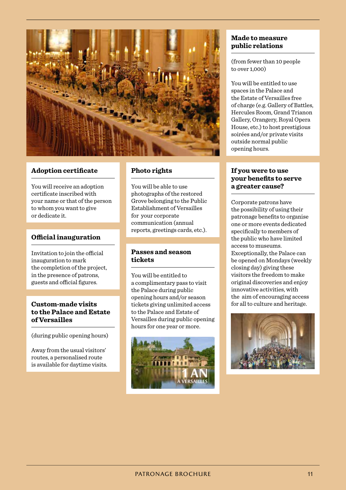

### **Adoption certificate**

You will receive an adoption certificate inscribed with your name or that of the person to whom you want to give or dedicate it.

## **Official inauguration**

Invitation to join the official inauguration to mark the completion of the project, in the presence of patrons, guests and official figures.

### **Custom-made visits to the Palace and Estate of Versailles**

(during public opening hours)

Away from the usual visitors' routes, a personalised route is available for daytime visits.

## **Photo rights**

You will be able to use photographs of the restored Grove belonging to the Public Establishment of Versailles for your corporate communication (annual reports, greetings cards, etc.).

#### **Passes and season tickets**

You will be entitled to a complimentary pass to visit the Palace during public opening hours and/or season tickets giving unlimited access to the Palace and Estate of Versailles during public opening hours for one year or more.



#### **Made to measure public relations**

(from fewer than 10 people to over 1,000)

You will be entitled to use spaces in the Palace and the Estate of Versailles free of charge (e.g. Gallery of Battles, Hercules Room, Grand Trianon Gallery, Orangery, Royal Opera House, etc.) to host prestigious soirées and/or private visits outside normal public opening hours.

### **If you were to use your benefits to serve a greater cause?**

Corporate patrons have the possibility of using their patronage benefits to organise one or more events dedicated specifically to members of the public who have limited access to museums. Exceptionally, the Palace can be opened on Mondays (weekly closing day) giving these visitors the freedom to make original discoveries and enjoy innovative activities, with the aim of encouraging access for all to culture and heritage.